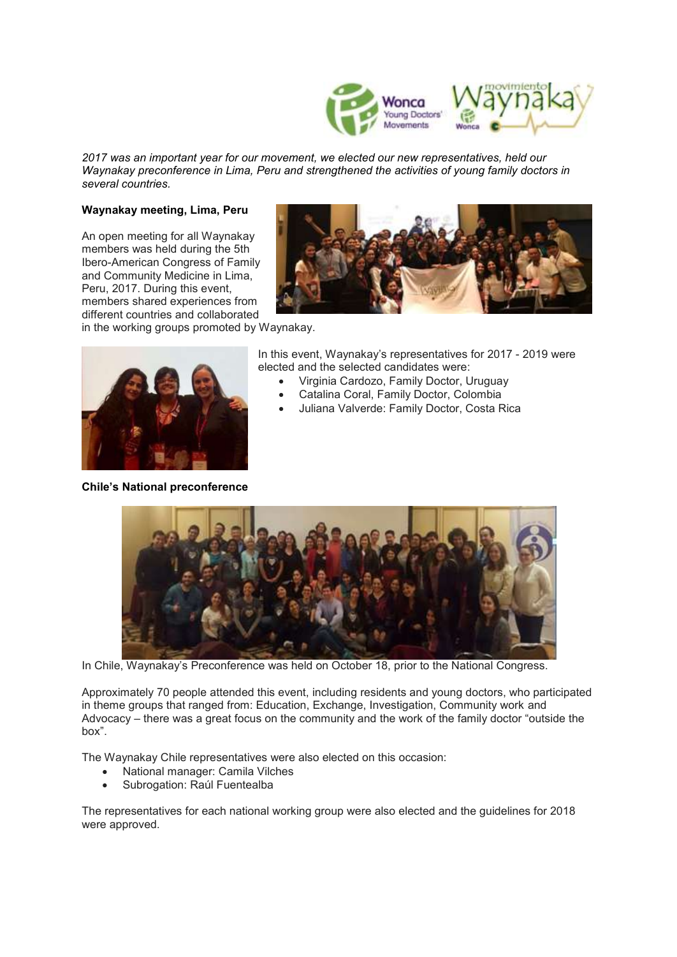

*2017 was an important year for our movement, we elected our new representatives, held our Waynakay preconference in Lima, Peru and strengthened the activities of young family doctors in several countries.*

## **Waynakay meeting, Lima, Peru**

An open meeting for all Waynakay members was held during the 5th Ibero-American Congress of Family and Community Medicine in Lima, Peru, 2017. During this event, members shared experiences from different countries and collaborated



in the working groups promoted by Waynakay.



**Chile's National preconference**

In this event, Waynakay's representatives for 2017 - 2019 were elected and the selected candidates were:

- Virginia Cardozo, Family Doctor, Uruguay
- Catalina Coral, Family Doctor, Colombia
- Juliana Valverde: Family Doctor, Costa Rica



In Chile, Waynakay's Preconference was held on October 18, prior to the National Congress.

Approximately 70 people attended this event, including residents and young doctors, who participated in theme groups that ranged from: Education, Exchange, Investigation, Community work and Advocacy – there was a great focus on the community and the work of the family doctor "outside the box".

The Waynakay Chile representatives were also elected on this occasion:

- National manager: Camila Vilches
- Subrogation: Raúl Fuentealba

The representatives for each national working group were also elected and the guidelines for 2018 were approved.